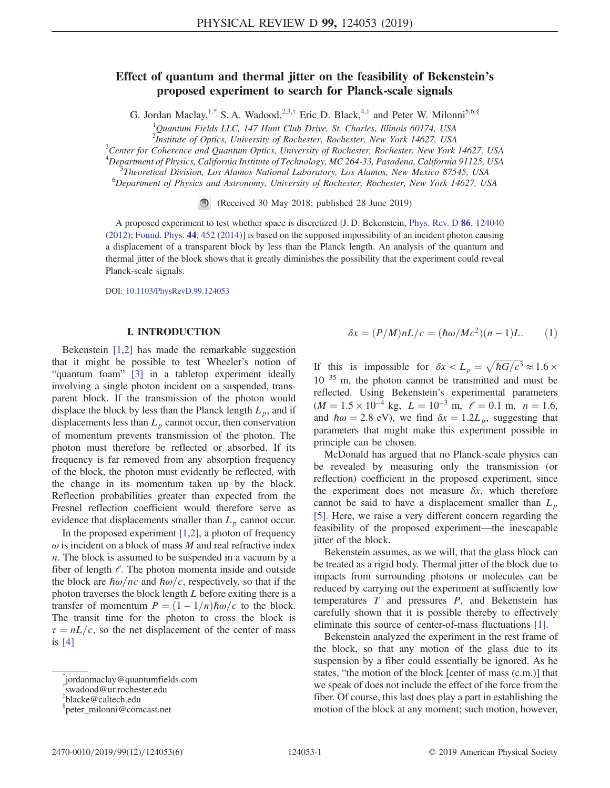# Effect of quantum and thermal jitter on the feasibility of Bekenstein's proposed experiment to search for Planck-scale signals

G. Jordan Maclay,<sup>[1,\\*](#page-0-0)</sup> S. A. Wadood,<sup>2,3,[†](#page-0-1)</sup> Eric D. Black,<sup>4,[‡](#page-0-2)</sup> and Peter W. Milonni<sup>5,[6,§](#page-0-3)</sup>

<sup>1</sup>Quantum Fields LLC, 147 Hunt Club Drive, St. Charles, Illinois 60174, USA

<span id="page-0-4"></span><sup>2</sup> Institute of Optics, University of Rochester, Rochester, New York 14627, USA<br><sup>3</sup> Center for Coherence and Quantum Optics, University of Pochester, Bookester, New York

 $^3$ Center for Coherence and Quantum Optics, University of Rochester, Rochester, New York 14627, USA

<sup>4</sup>Department of Physics, California Institute of Technology, MC 264-33, Pasadena, California 91125, USA<br><sup>5</sup>Theoretical Division, Los Alamos National Laboratory, Los Alamos, Nay Moriae 87545, USA

Theoretical Division, Los Alamos National Laboratory, Los Alamos, New Mexico 87545, USA <sup>6</sup>

<sup>6</sup>Department of Physics and Astronomy, University of Rochester, Rochester, New York 14627, USA

(Received 30 May 2018; published 28 June 2019)

A proposed experiment to test whether space is discretized [J. D. Bekenstein, [Phys. Rev. D](https://doi.org/10.1103/PhysRevD.86.124040) 86, 124040 [\(2012\)](https://doi.org/10.1103/PhysRevD.86.124040); [Found. Phys.](https://doi.org/10.1007/s10701-014-9779-z) 44, 452 (2014)] is based on the supposed impossibility of an incident photon causing a displacement of a transparent block by less than the Planck length. An analysis of the quantum and thermal jitter of the block shows that it greatly diminishes the possibility that the experiment could reveal Planck-scale signals.

DOI: [10.1103/PhysRevD.99.124053](https://doi.org/10.1103/PhysRevD.99.124053)

### I. INTRODUCTION

Bekenstein [\[1,2\]](#page-5-0) has made the remarkable suggestion that it might be possible to test Wheeler's notion of "quantum foam" [\[3\]](#page-5-1) in a tabletop experiment ideally involving a single photon incident on a suspended, transparent block. If the transmission of the photon would displace the block by less than the Planck length  $L_p$ , and if displacements less than  $L_p$  cannot occur, then conservation of momentum prevents transmission of the photon. The photon must therefore be reflected or absorbed. If its frequency is far removed from any absorption frequency of the block, the photon must evidently be reflected, with the change in its momentum taken up by the block. Reflection probabilities greater than expected from the Fresnel reflection coefficient would therefore serve as evidence that displacements smaller than  $L_p$  cannot occur.

In the proposed experiment  $[1,2]$ , a photon of frequency  $\omega$  is incident on a block of mass M and real refractive index n. The block is assumed to be suspended in a vacuum by a fiber of length  $\ell$ . The photon momenta inside and outside the block are  $\hbar \omega$ /nc and  $\hbar \omega/c$ , respectively, so that if the photon traverses the block length  $L$  before exiting there is a transfer of momentum  $P = (1 - 1/n)\hbar\omega/c$  to the block. The transit time for the photon to cross the block is  $\tau = nL/c$ , so the net displacement of the center of mass is [\[4\]](#page-5-2)

$$
\delta x = (P/M)nL/c = (\hbar \omega/Mc^2)(n-1)L.
$$
 (1)

If this is impossible for  $\delta x < L_p = \sqrt{\hbar G/c^3} \approx 1.6 \times$ 10<sup>−</sup><sup>35</sup> m, the photon cannot be transmitted and must be reflected. Using Bekenstein's experimental parameters  $(M = 1.5 \times 10^{-4} \text{ kg}, L = 10^{-3} \text{ m}, \ell = 0.1 \text{ m}, n = 1.6,$ and  $\hbar \omega = 2.8$  eV), we find  $\delta x = 1.2L_p$ , suggesting that parameters that might make this experiment possible in principle can be chosen.

McDonald has argued that no Planck-scale physics can be revealed by measuring only the transmission (or reflection) coefficient in the proposed experiment, since the experiment does not measure  $\delta x$ , which therefore cannot be said to have a displacement smaller than  $L_p$ [\[5\]](#page-5-3). Here, we raise a very different concern regarding the feasibility of the proposed experiment—the inescapable jitter of the block.

Bekenstein assumes, as we will, that the glass block can be treated as a rigid body. Thermal jitter of the block due to impacts from surrounding photons or molecules can be reduced by carrying out the experiment at sufficiently low temperatures  $T$  and pressures  $P$ , and Bekenstein has carefully shown that it is possible thereby to effectively eliminate this source of center-of-mass fluctuations [\[1\]](#page-5-0).

Bekenstein analyzed the experiment in the rest frame of the block, so that any motion of the glass due to its suspension by a fiber could essentially be ignored. As he states, "the motion of the block [center of mass (c.m.)] that we speak of does not include the effect of the force from the fiber. Of course, this last does play a part in establishing the motion of the block at any moment; such motion, however,

<span id="page-0-0"></span>[<sup>\\*</sup>](#page-0-4) jordanmaclay@quantumfields.com

<span id="page-0-1"></span>[<sup>†</sup>](#page-0-4) swadood@ur.rochester.edu

<span id="page-0-2"></span>[<sup>‡</sup>](#page-0-4) blacke@caltech.edu

<span id="page-0-3"></span>[<sup>§</sup>](#page-0-4) peter\_milonni@comcast.net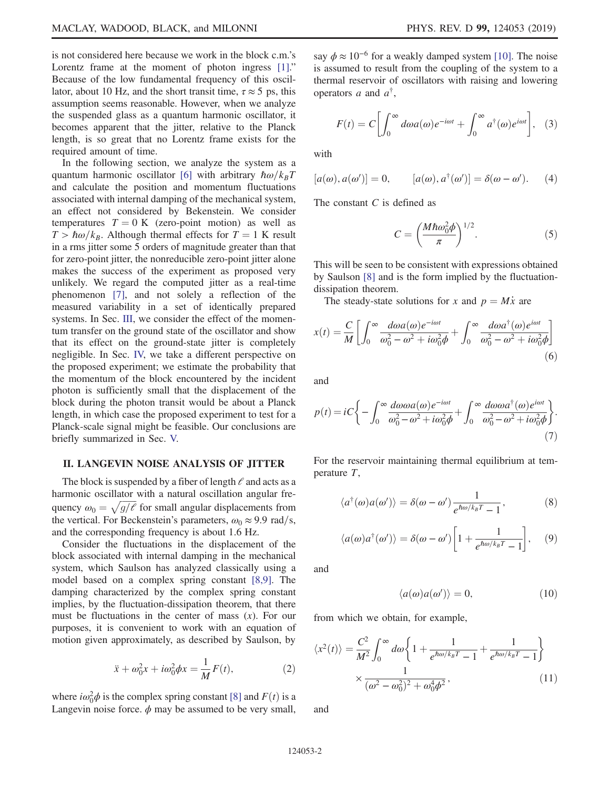is not considered here because we work in the block c.m.'s Lorentz frame at the moment of photon ingress [\[1\]](#page-5-0)." Because of the low fundamental frequency of this oscillator, about 10 Hz, and the short transit time,  $\tau \approx 5$  ps, this assumption seems reasonable. However, when we analyze the suspended glass as a quantum harmonic oscillator, it becomes apparent that the jitter, relative to the Planck length, is so great that no Lorentz frame exists for the required amount of time.

In the following section, we analyze the system as a quantum harmonic oscillator [\[6\]](#page-5-4) with arbitrary  $\hbar \omega/k_BT$ and calculate the position and momentum fluctuations associated with internal damping of the mechanical system, an effect not considered by Bekenstein. We consider temperatures  $T = 0$  K (zero-point motion) as well as  $T > \hbar \omega / k_B$ . Although thermal effects for  $T = 1$  K result in a rms jitter some 5 orders of magnitude greater than that for zero-point jitter, the nonreducible zero-point jitter alone makes the success of the experiment as proposed very unlikely. We regard the computed jitter as a real-time phenomenon [\[7\]](#page-5-5), and not solely a reflection of the measured variability in a set of identically prepared systems. In Sec. [III](#page-3-0), we consider the effect of the momentum transfer on the ground state of the oscillator and show that its effect on the ground-state jitter is completely negligible. In Sec. [IV,](#page-4-0) we take a different perspective on the proposed experiment; we estimate the probability that the momentum of the block encountered by the incident photon is sufficiently small that the displacement of the block during the photon transit would be about a Planck length, in which case the proposed experiment to test for a Planck-scale signal might be feasible. Our conclusions are briefly summarized in Sec. [V.](#page-4-1)

#### II. LANGEVIN NOISE ANALYSIS OF JITTER

The block is suspended by a fiber of length  $\ell$  and acts as a harmonic oscillator with a natural oscillation angular frequency  $\omega_0 = \sqrt{g/\ell}$  for small angular displacements from the vertical. For Beckenstein's parameters,  $\omega_0 \approx 9.9$  rad/s, and the corresponding frequency is about 1.6 Hz.

Consider the fluctuations in the displacement of the block associated with internal damping in the mechanical system, which Saulson has analyzed classically using a model based on a complex spring constant [\[8,9\].](#page-5-6) The damping characterized by the complex spring constant implies, by the fluctuation-dissipation theorem, that there must be fluctuations in the center of mass  $(x)$ . For our purposes, it is convenient to work with an equation of motion given approximately, as described by Saulson, by

$$
\ddot{x} + \omega_0^2 x + i\omega_0^2 \phi x = \frac{1}{M} F(t), \qquad (2)
$$

where  $i\omega_0^2 \phi$  is the complex spring constant [\[8\]](#page-5-6) and  $F(t)$  is a Langevin noise force.  $\phi$  may be assumed to be very small, say  $\phi \approx 10^{-6}$  for a weakly damped system [\[10\]](#page-5-7). The noise is assumed to result from the coupling of the system to a thermal reservoir of oscillators with raising and lowering operators a and  $a^{\dagger}$ ,

$$
F(t) = C \left[ \int_0^\infty d\omega a(\omega) e^{-i\omega t} + \int_0^\infty a^\dagger(\omega) e^{i\omega t} \right], \quad (3)
$$

with

$$
[a(\omega), a(\omega')] = 0, \qquad [a(\omega), a^{\dagger}(\omega')] = \delta(\omega - \omega'). \qquad (4)
$$

The constant  $C$  is defined as

$$
C = \left(\frac{M\hbar\omega_0^2\phi}{\pi}\right)^{1/2}.\tag{5}
$$

This will be seen to be consistent with expressions obtained by Saulson [\[8\]](#page-5-6) and is the form implied by the fluctuationdissipation theorem.

The steady-state solutions for x and  $p = M\dot{x}$  are

$$
x(t) = \frac{C}{M} \left[ \int_0^\infty \frac{d\omega a(\omega)e^{-i\omega t}}{\omega_0^2 - \omega^2 + i\omega_0^2 \phi} + \int_0^\infty \frac{d\omega a^\dagger(\omega)e^{i\omega t}}{\omega_0^2 - \omega^2 + i\omega_0^2 \phi} \right]
$$
(6)

and

$$
p(t) = iC \bigg\{ -\int_0^\infty \frac{d\omega \omega a(\omega)e^{-i\omega t}}{\omega_0^2 - \omega^2 + i\omega_0^2 \phi} + \int_0^\infty \frac{d\omega \omega a^\dagger(\omega)e^{i\omega t}}{\omega_0^2 - \omega^2 + i\omega_0^2 \phi} \bigg\}.
$$
\n(7)

For the reservoir maintaining thermal equilibrium at temperature T,

$$
\langle a^{\dagger}(\omega)a(\omega')\rangle = \delta(\omega - \omega') \frac{1}{e^{\hbar\omega/k_B T} - 1},
$$
 (8)

$$
\langle a(\omega)a^{\dagger}(\omega')\rangle = \delta(\omega - \omega') \left[1 + \frac{1}{e^{\hbar \omega/k_B T} - 1}\right], \quad (9)
$$

and

$$
\langle a(\omega)a(\omega')\rangle = 0, \qquad (10)
$$

from which we obtain, for example,

$$
\langle x^2(t) \rangle = \frac{C^2}{M^2} \int_0^\infty d\omega \left\{ 1 + \frac{1}{e^{\hbar \omega / k_B T} - 1} + \frac{1}{e^{\hbar \omega / k_B T} - 1} \right\}
$$

$$
\times \frac{1}{(\omega^2 - \omega_0^2)^2 + \omega_0^4 \phi^2},\tag{11}
$$

and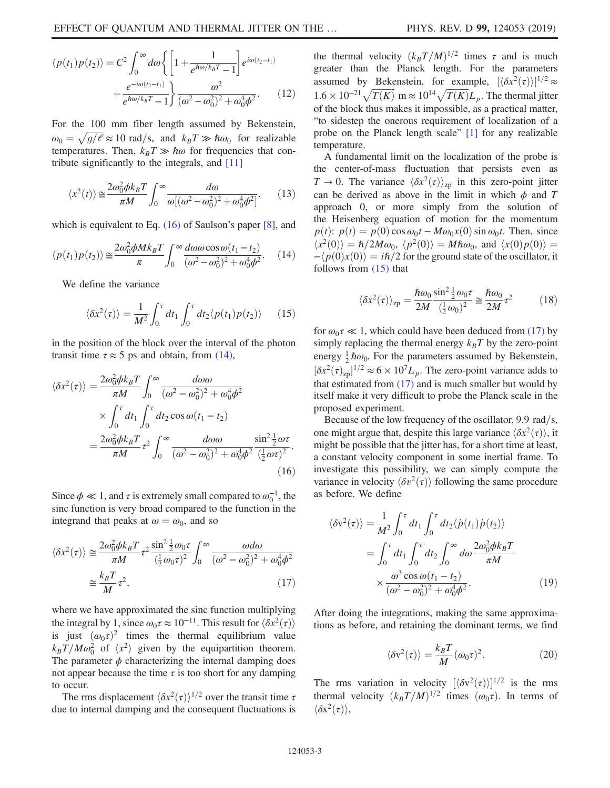$$
\langle p(t_1)p(t_2)\rangle = C^2 \int_0^\infty d\omega \left\{ \left[ 1 + \frac{1}{e^{\hbar \omega/k_B T} - 1} \right] e^{i\omega(t_2 - t_1)} + \frac{e^{-i\omega(t_2 - t_1)}}{e^{\hbar \omega/k_B T} - 1} \right\} \frac{\omega^2}{(\omega^2 - \omega_0^2)^2 + \omega_0^4 \phi^2}.
$$
 (12)

For the 100 mm fiber length assumed by Bekenstein,  $\omega_0 = \sqrt{g/\ell} \approx 10 \text{ rad/s}, \text{ and } k_B T \gg \hbar \omega_0 \text{ for realizable}$ temperatures. Then,  $k_BT \gg \hbar \omega$  for frequencies that contribute significantly to the integrals, and [\[11\]](#page-5-8)

$$
\langle x^2(t) \rangle \cong \frac{2\omega_0^2 \phi k_B T}{\pi M} \int_0^\infty \frac{d\omega}{\omega [(\omega^2 - \omega_0^2)^2 + \omega_0^4 \phi^2]},\qquad(13)
$$

<span id="page-2-1"></span>which is equivalent to Eq. [\(16\)](#page-2-0) of Saulson's paper [\[8\]](#page-5-6), and

$$
\langle p(t_1)p(t_2)\rangle \cong \frac{2\omega_0^2 \phi M k_B T}{\pi} \int_0^\infty \frac{d\omega \omega \cos \omega (t_1 - t_2)}{(\omega^2 - \omega_0^2)^2 + \omega_0^4 \phi^2}.
$$
 (14)

<span id="page-2-2"></span>We define the variance

$$
\langle \delta x^2(\tau) \rangle = \frac{1}{M^2} \int_0^{\tau} dt_1 \int_0^{\tau} dt_2 \langle p(t_1)p(t_2) \rangle \qquad (15)
$$

<span id="page-2-0"></span>in the position of the block over the interval of the photon transit time  $\tau \approx 5$  ps and obtain, from [\(14\)](#page-2-1),

$$
\langle \delta x^2(\tau) \rangle = \frac{2\omega_0^2 \phi k_B T}{\pi M} \int_0^\infty \frac{d\omega \omega}{(\omega^2 - \omega_0^2)^2 + \omega_0^4 \phi^2}
$$

$$
\times \int_0^\tau dt_1 \int_0^\tau dt_2 \cos \omega (t_1 - t_2)
$$

$$
= \frac{2\omega_0^2 \phi k_B T}{\pi M} \tau^2 \int_0^\infty \frac{d\omega \omega}{(\omega^2 - \omega_0^2)^2 + \omega_0^4 \phi^2} \frac{\sin^2 \frac{1}{2} \omega \tau}{(\frac{1}{2} \omega \tau)^2}.
$$
(16)

<span id="page-2-3"></span>Since  $\phi \ll 1$ , and  $\tau$  is extremely small compared to  $\omega_0^{-1}$ , the sinc function is very broad compared to the function in the integrand that peaks at  $\omega = \omega_0$ , and so

$$
\langle \delta x^2(\tau) \rangle \cong \frac{2\omega_0^2 \phi k_B T}{\pi M} \tau^2 \frac{\sin^2 \frac{1}{2} \omega_0 \tau}{(\frac{1}{2} \omega_0 \tau)^2} \int_0^\infty \frac{\omega d\omega}{(\omega^2 - \omega_0^2)^2 + \omega_0^4 \phi^2}
$$

$$
\cong \frac{k_B T}{M} \tau^2,
$$
(17)

where we have approximated the sinc function multiplying the integral by 1, since  $\omega_0 \tau \approx 10^{-11}$ . This result for  $\langle \delta x^2(\tau) \rangle$ is just  $(\omega_0 \tau)^2$  times the thermal equilibrium value  $k_B T/M\omega_0^2$  of  $\langle x^2 \rangle$  given by the equipartition theorem. The parameter  $\phi$  characterizing the internal damping does not appear because the time  $\tau$  is too short for any damping to occur.

The rms displacement  $\langle \delta x^2(\tau) \rangle^{1/2}$  over the transit time  $\tau$ due to internal damping and the consequent fluctuations is the thermal velocity  $(k_BT/M)^{1/2}$  times  $\tau$  and is much greater than the Planck length. For the parameters assumed by Bekenstein, for example,  $[\langle \delta x^2(\tau) \rangle]^{1/2} \approx$  $1.6 \times 10^{-21} \sqrt{T(K)} \text{ m} \approx 10^{14} \sqrt{T(K)} L_p$ . The thermal jitter of the block thus makes it impossible, as a practical matter, "to sidestep the onerous requirement of localization of a probe on the Planck length scale" [\[1\]](#page-5-0) for any realizable temperature.

A fundamental limit on the localization of the probe is the center-of-mass fluctuation that persists even as  $T \to 0$ . The variance  $\langle \delta x^2(\tau) \rangle_{\text{ZD}}$  in this zero-point jitter can be derived as above in the limit in which  $\phi$  and T approach 0, or more simply from the solution of the Heisenberg equation of motion for the momentum  $p(t)$ :  $p(t) = p(0) \cos \omega_0 t - M \omega_0 x(0) \sin \omega_0 t$ . Then, since  $\langle x^2(0)\rangle = \hbar/2M\omega_0$ ,  $\langle p^2(0)\rangle = M\hbar\omega_0$ , and  $\langle x(0)p(0)\rangle =$  $-\langle p(0)x(0)\rangle = i\hbar/2$  for the ground state of the oscillator, it follows from [\(15\)](#page-2-2) that

<span id="page-2-5"></span>
$$
\langle \delta x^2(\tau) \rangle_{\text{zp}} = \frac{\hbar \omega_0}{2M} \frac{\sin^2 \frac{1}{2} \omega_0 \tau}{\left(\frac{1}{2} \omega_0\right)^2} \cong \frac{\hbar \omega_0}{2M} \tau^2 \tag{18}
$$

for  $\omega_0 \tau \ll 1$ , which could have been deduced from [\(17\)](#page-2-3) by simply replacing the thermal energy  $k_BT$  by the zero-point energy  $\frac{1}{2}\hbar\omega_0$ . For the parameters assumed by Bekenstein,  $[\delta x^2(\tau)_{\text{zp}}]^{1/2} \approx 6 \times 10^7 L_p$ . The zero-point variance adds to that estimated from [\(17\)](#page-2-3) and is much smaller but would by itself make it very difficult to probe the Planck scale in the proposed experiment.

Because of the low frequency of the oscillator,  $9.9 \text{ rad/s}$ , one might argue that, despite this large variance  $\langle \delta x^2(\tau) \rangle$ , it might be possible that the jitter has, for a short time at least, a constant velocity component in some inertial frame. To investigate this possibility, we can simply compute the variance in velocity  $\langle \delta v^2(\tau) \rangle$  following the same procedure as before. We define

$$
\langle \delta v^2(\tau) \rangle = \frac{1}{M^2} \int_0^{\tau} dt_1 \int_0^{\tau} dt_2 \langle \dot{p}(t_1) \dot{p}(t_2) \rangle
$$
  
= 
$$
\int_0^{\tau} dt_1 \int_0^{\tau} dt_2 \int_0^{\infty} d\omega \frac{2\omega_0^2 \phi k_B T}{\pi M}
$$
  

$$
\times \frac{\omega^3 \cos \omega(t_1 - t_2)}{(\omega^2 - \omega_0^2)^2 + \omega_0^4 \phi^2}.
$$
 (19)

After doing the integrations, making the same approximations as before, and retaining the dominant terms, we find

$$
\langle \delta v^2(\tau) \rangle = \frac{k_B T}{M} (\omega_0 \tau)^2.
$$
 (20)

<span id="page-2-4"></span>The rms variation in velocity  $[\langle \delta v^2(\tau) \rangle]^{1/2}$  is the rms thermal velocity  $(k_BT/M)^{1/2}$  times  $(\omega_0\tau)$ . In terms of  $\langle \delta x^2(\tau) \rangle$ ,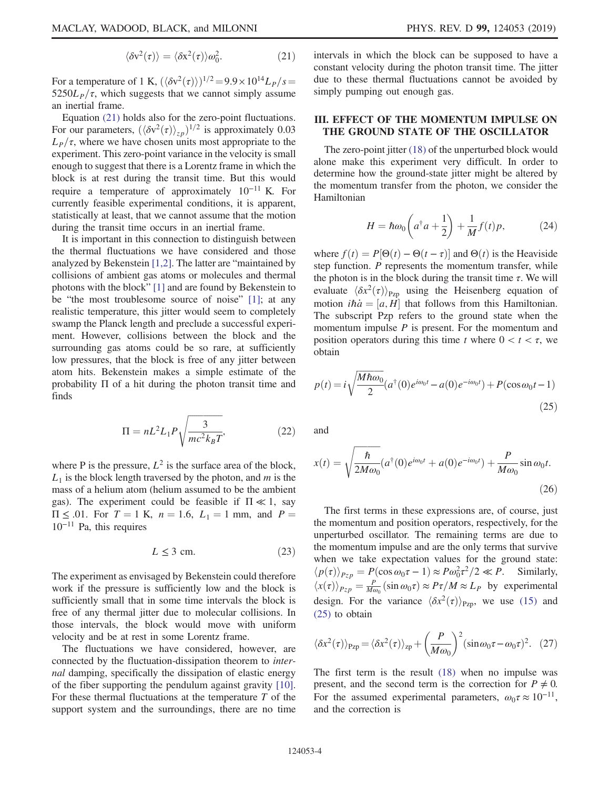$$
\langle \delta v^2(\tau) \rangle = \langle \delta x^2(\tau) \rangle \omega_0^2. \tag{21}
$$

For a temperature of 1 K,  $(\langle \delta v^2(\tau) \rangle)^{1/2} = 9.9 \times 10^{14} L_P/s$  $5250L_p/\tau$ , which suggests that we cannot simply assume an inertial frame.

Equation [\(21\)](#page-2-4) holds also for the zero-point fluctuations. For our parameters,  $(\langle \delta v^2(\tau) \rangle_{zp})^{1/2}$  is approximately 0.03  $L_p/\tau$ , where we have chosen units most appropriate to the experiment. This zero-point variance in the velocity is small enough to suggest that there is a Lorentz frame in which the block is at rest during the transit time. But this would require a temperature of approximately 10<sup>−</sup><sup>11</sup> K. For currently feasible experimental conditions, it is apparent, statistically at least, that we cannot assume that the motion during the transit time occurs in an inertial frame.

It is important in this connection to distinguish between the thermal fluctuations we have considered and those analyzed by Bekenstein [\[1,2\]](#page-5-0). The latter are "maintained by collisions of ambient gas atoms or molecules and thermal photons with the block" [\[1\]](#page-5-0) and are found by Bekenstein to be "the most troublesome source of noise" [\[1\]](#page-5-0); at any realistic temperature, this jitter would seem to completely swamp the Planck length and preclude a successful experiment. However, collisions between the block and the surrounding gas atoms could be so rare, at sufficiently low pressures, that the block is free of any jitter between atom hits. Bekenstein makes a simple estimate of the probability Π of a hit during the photon transit time and finds

$$
\Pi = nL^2 L_1 P \sqrt{\frac{3}{mc^2 k_B T}},\tag{22}
$$

where P is the pressure,  $L^2$  is the surface area of the block,  $L_1$  is the block length traversed by the photon, and m is the mass of a helium atom (helium assumed to be the ambient gas). The experiment could be feasible if  $\Pi \ll 1$ , say  $\Pi \leq .01$ . For  $T = 1$  K,  $n = 1.6$ ,  $L_1 = 1$  mm, and  $P =$ 10<sup>−</sup><sup>11</sup> Pa, this requires

$$
L \le 3 \text{ cm.} \tag{23}
$$

The experiment as envisaged by Bekenstein could therefore work if the pressure is sufficiently low and the block is sufficiently small that in some time intervals the block is free of any thermal jitter due to molecular collisions. In those intervals, the block would move with uniform velocity and be at rest in some Lorentz frame.

The fluctuations we have considered, however, are connected by the fluctuation-dissipation theorem to internal damping, specifically the dissipation of elastic energy of the fiber supporting the pendulum against gravity [\[10\]](#page-5-7). For these thermal fluctuations at the temperature  $T$  of the support system and the surroundings, there are no time intervals in which the block can be supposed to have a constant velocity during the photon transit time. The jitter due to these thermal fluctuations cannot be avoided by simply pumping out enough gas.

## <span id="page-3-0"></span>III. EFFECT OF THE MOMENTUM IMPULSE ON THE GROUND STATE OF THE OSCILLATOR

The zero-point jitter [\(18\)](#page-2-5) of the unperturbed block would alone make this experiment very difficult. In order to determine how the ground-state jitter might be altered by the momentum transfer from the photon, we consider the Hamiltonian

$$
H = \hbar \omega_0 \left( a^\dagger a + \frac{1}{2} \right) + \frac{1}{M} f(t) p, \tag{24}
$$

where  $f(t) = P[\Theta(t) - \Theta(t - \tau)]$  and  $\Theta(t)$  is the Heaviside step function. P represents the momentum transfer, while the photon is in the block during the transit time  $\tau$ . We will evaluate  $\langle \delta x^2(\tau) \rangle_{Pzp}$  using the Heisenberg equation of motion *iha* = [a, H] that follows from this Hamiltonian. The subscript Pzp refers to the ground state when the momentum impulse  $P$  is present. For the momentum and position operators during this time t where  $0 < t < \tau$ , we obtain

<span id="page-3-1"></span>
$$
p(t) = i\sqrt{\frac{M\hbar\omega_0}{2}}(a^{\dagger}(0)e^{i\omega_0 t} - a(0)e^{-i\omega_0 t}) + P(\cos\omega_0 t - 1)
$$
\n(25)

and

$$
x(t) = \sqrt{\frac{\hbar}{2M\omega_0}} (a^{\dagger}(0)e^{i\omega_0 t} + a(0)e^{-i\omega_0 t}) + \frac{P}{M\omega_0} \sin \omega_0 t.
$$
\n(26)

The first terms in these expressions are, of course, just the momentum and position operators, respectively, for the unperturbed oscillator. The remaining terms are due to the momentum impulse and are the only terms that survive when we take expectation values for the ground state:  $\langle p(\tau) \rangle_{Pzp} = P(\cos \omega_0 \tau - 1) \approx P \omega_0^2 \tau^2 / 2 \ll P$ . Similarly,  $\langle x(\tau) \rangle_{Pzp} = \frac{P}{M\omega_0} (\sin \omega_0 \tau) \approx P\tau/M \approx L_P$  by experimental design. For the variance  $\langle \delta x^2(\tau) \rangle_{\text{Pzp}}$ , we use [\(15\)](#page-2-2) and [\(25\)](#page-3-1) to obtain

$$
\langle \delta x^2(\tau) \rangle_{\text{Pzp}} = \langle \delta x^2(\tau) \rangle_{\text{zp}} + \left(\frac{P}{M\omega_0}\right)^2 (\sin \omega_0 \tau - \omega_0 \tau)^2. \tag{27}
$$

The first term is the result [\(18\)](#page-2-5) when no impulse was present, and the second term is the correction for  $P \neq 0$ . For the assumed experimental parameters,  $\omega_0 \tau \approx 10^{-11}$ , and the correction is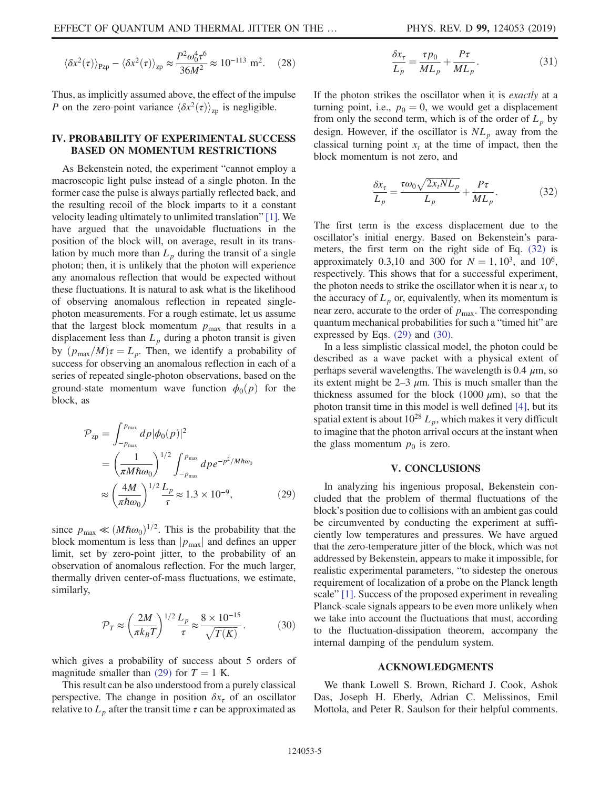$$
\langle \delta x^2(\tau) \rangle_{\text{Pzp}} - \langle \delta x^2(\tau) \rangle_{\text{zp}} \approx \frac{P^2 \omega_0^4 \tau^6}{36M^2} \approx 10^{-113} \text{ m}^2. \tag{28}
$$

Thus, as implicitly assumed above, the effect of the impulse P on the zero-point variance  $\langle \delta x^2(\tau) \rangle_{\text{zp}}$  is negligible.

## <span id="page-4-0"></span>IV. PROBABILITY OF EXPERIMENTAL SUCCESS BASED ON MOMENTUM RESTRICTIONS

As Bekenstein noted, the experiment "cannot employ a macroscopic light pulse instead of a single photon. In the former case the pulse is always partially reflected back, and the resulting recoil of the block imparts to it a constant velocity leading ultimately to unlimited translation" [\[1\].](#page-5-0) We have argued that the unavoidable fluctuations in the position of the block will, on average, result in its translation by much more than  $L_p$  during the transit of a single photon; then, it is unlikely that the photon will experience any anomalous reflection that would be expected without these fluctuations. It is natural to ask what is the likelihood of observing anomalous reflection in repeated singlephoton measurements. For a rough estimate, let us assume that the largest block momentum  $p_{\text{max}}$  that results in a displacement less than  $L_p$  during a photon transit is given by  $(p_{\text{max}}/M)\tau=L_p$ . Then, we identify a probability of success for observing an anomalous reflection in each of a series of repeated single-photon observations, based on the ground-state momentum wave function  $\phi_0(p)$  for the block, as

<span id="page-4-2"></span>
$$
\mathcal{P}_{\text{zp}} = \int_{-p_{\text{max}}}^{p_{\text{max}}} dp |\phi_0(p)|^2
$$
  
= 
$$
\left(\frac{1}{\pi M \hbar \omega_0}\right)^{1/2} \int_{-p_{\text{max}}}^{p_{\text{max}}} dp e^{-p^2/M \hbar \omega_0}
$$
  

$$
\approx \left(\frac{4M}{\pi \hbar \omega_0}\right)^{1/2} \frac{L_p}{\tau} \approx 1.3 \times 10^{-9}, \tag{29}
$$

<span id="page-4-4"></span>since  $p_{\text{max}} \ll (M\hbar\omega_0)^{1/2}$ . This is the probability that the block momentum is less than  $|p_{\text{max}}|$  and defines an upper limit, set by zero-point jitter, to the probability of an observation of anomalous reflection. For the much larger, thermally driven center-of-mass fluctuations, we estimate, similarly,

$$
\mathcal{P}_T \approx \left(\frac{2M}{\pi k_B T}\right)^{1/2} \frac{L_p}{\tau} \approx \frac{8 \times 10^{-15}}{\sqrt{T(K)}}.\tag{30}
$$

which gives a probability of success about 5 orders of magnitude smaller than [\(29\)](#page-4-2) for  $T = 1$  K.

This result can be also understood from a purely classical perspective. The change in position  $\delta x_{\tau}$  of an oscillator relative to  $L_p$  after the transit time  $\tau$  can be approximated as

$$
\frac{\delta x_{\tau}}{L_p} = \frac{\tau p_0}{ML_p} + \frac{P\tau}{ML_p}.
$$
\n(31)

<span id="page-4-3"></span>If the photon strikes the oscillator when it is exactly at a turning point, i.e.,  $p_0 = 0$ , we would get a displacement from only the second term, which is of the order of  $L_p$  by design. However, if the oscillator is  $NL_p$  away from the classical turning point  $x_t$  at the time of impact, then the block momentum is not zero, and

$$
\frac{\delta x_{\tau}}{L_p} = \frac{\tau \omega_0 \sqrt{2x_t N L_p}}{L_p} + \frac{P \tau}{M L_p}.
$$
 (32)

The first term is the excess displacement due to the oscillator's initial energy. Based on Bekenstein's parameters, the first term on the right side of Eq. [\(32\)](#page-4-3) is approximately 0.3,10 and 300 for  $N = 1, 10^3$ , and  $10^6$ , respectively. This shows that for a successful experiment, the photon needs to strike the oscillator when it is near  $x_t$  to the accuracy of  $L_p$  or, equivalently, when its momentum is near zero, accurate to the order of  $p_{\text{max}}$ . The corresponding quantum mechanical probabilities for such a "timed hit" are expressed by Eqs. [\(29\)](#page-4-2) and [\(30\)](#page-4-4).

In a less simplistic classical model, the photon could be described as a wave packet with a physical extent of perhaps several wavelengths. The wavelength is 0.4  $\mu$ m, so its extent might be 2–3  $\mu$ m. This is much smaller than the thickness assumed for the block (1000  $\mu$ m), so that the photon transit time in this model is well defined [\[4\]](#page-5-2), but its spatial extent is about  $10^{28} L_p$ , which makes it very difficult to imagine that the photon arrival occurs at the instant when the glass momentum  $p_0$  is zero.

#### V. CONCLUSIONS

<span id="page-4-1"></span>In analyzing his ingenious proposal, Bekenstein concluded that the problem of thermal fluctuations of the block's position due to collisions with an ambient gas could be circumvented by conducting the experiment at sufficiently low temperatures and pressures. We have argued that the zero-temperature jitter of the block, which was not addressed by Bekenstein, appears to make it impossible, for realistic experimental parameters, "to sidestep the onerous requirement of localization of a probe on the Planck length scale" [\[1\].](#page-5-0) Success of the proposed experiment in revealing Planck-scale signals appears to be even more unlikely when we take into account the fluctuations that must, according to the fluctuation-dissipation theorem, accompany the internal damping of the pendulum system.

#### ACKNOWLEDGMENTS

We thank Lowell S. Brown, Richard J. Cook, Ashok Das, Joseph H. Eberly, Adrian C. Melissinos, Emil Mottola, and Peter R. Saulson for their helpful comments.